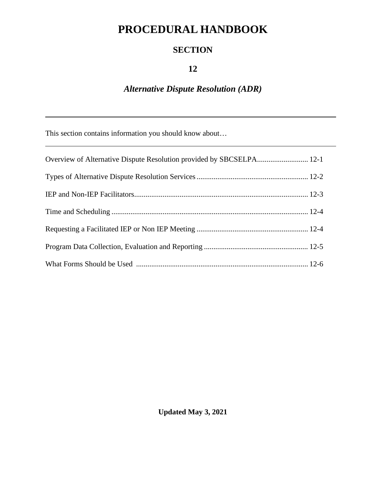# **PROCEDURAL HANDBOOK**

### **SECTION**

### **12**

## *Alternative Dispute Resolution (ADR)*

This section contains information you should know about…

**Updated May 3, 2021**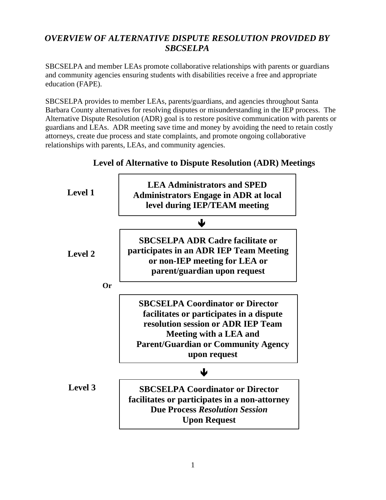### *OVERVIEW OF ALTERNATIVE DISPUTE RESOLUTION PROVIDED BY SBCSELPA*

SBCSELPA and member LEAs promote collaborative relationships with parents or guardians and community agencies ensuring students with disabilities receive a free and appropriate education (FAPE).

SBCSELPA provides to member LEAs, parents/guardians, and agencies throughout Santa Barbara County alternatives for resolving disputes or misunderstanding in the IEP process. The Alternative Dispute Resolution (ADR) goal is to restore positive communication with parents or guardians and LEAs. ADR meeting save time and money by avoiding the need to retain costly attorneys, create due process and state complaints, and promote ongoing collaborative relationships with parents, LEAs, and community agencies.



### **Level of Alternative to Dispute Resolution (ADR) Meetings**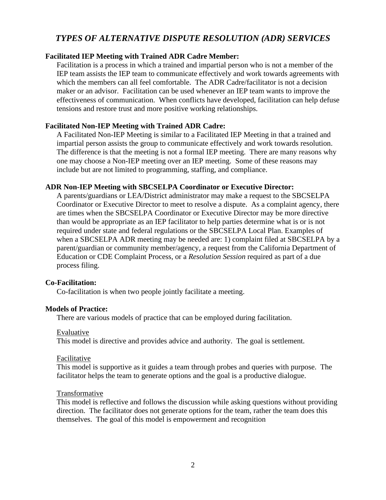### *TYPES OF ALTERNATIVE DISPUTE RESOLUTION (ADR) SERVICES*

#### **Facilitated IEP Meeting with Trained ADR Cadre Member:**

Facilitation is a process in which a trained and impartial person who is not a member of the IEP team assists the IEP team to communicate effectively and work towards agreements with which the members can all feel comfortable. The ADR Cadre/facilitator is not a decision maker or an advisor. Facilitation can be used whenever an IEP team wants to improve the effectiveness of communication. When conflicts have developed, facilitation can help defuse tensions and restore trust and more positive working relationships.

#### **Facilitated Non-IEP Meeting with Trained ADR Cadre:**

A Facilitated Non-IEP Meeting is similar to a Facilitated IEP Meeting in that a trained and impartial person assists the group to communicate effectively and work towards resolution. The difference is that the meeting is not a formal IEP meeting. There are many reasons why one may choose a Non-IEP meeting over an IEP meeting. Some of these reasons may include but are not limited to programming, staffing, and compliance.

#### **ADR Non-IEP Meeting with SBCSELPA Coordinator or Executive Director:**

A parents/guardians or LEA/District administrator may make a request to the SBCSELPA Coordinator or Executive Director to meet to resolve a dispute. As a complaint agency, there are times when the SBCSELPA Coordinator or Executive Director may be more directive than would be appropriate as an IEP facilitator to help parties determine what is or is not required under state and federal regulations or the SBCSELPA Local Plan. Examples of when a SBCSELPA ADR meeting may be needed are: 1) complaint filed at SBCSELPA by a parent/guardian or community member/agency, a request from the California Department of Education or CDE Complaint Process, or a *Resolution Session* required as part of a due process filing.

#### **Co-Facilitation:**

Co-facilitation is when two people jointly facilitate a meeting.

#### **Models of Practice:**

There are various models of practice that can be employed during facilitation.

#### Evaluative

This model is directive and provides advice and authority. The goal is settlement.

#### Facilitative

This model is supportive as it guides a team through probes and queries with purpose. The facilitator helps the team to generate options and the goal is a productive dialogue.

#### Transformative

This model is reflective and follows the discussion while asking questions without providing direction. The facilitator does not generate options for the team, rather the team does this themselves. The goal of this model is empowerment and recognition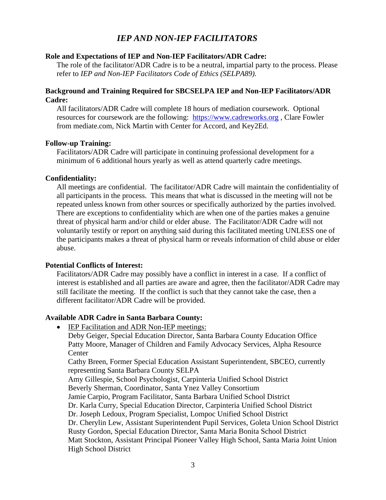### *IEP AND NON-IEP FACILITATORS*

#### **Role and Expectations of IEP and Non-IEP Facilitators/ADR Cadre:**

The role of the facilitator/ADR Cadre is to be a neutral, impartial party to the process. Please refer to *IEP and Non-IEP Facilitators Code of Ethics (SELPA89).*

#### **Background and Training Required for SBCSELPA IEP and Non-IEP Facilitators/ADR Cadre:**

All facilitators/ADR Cadre will complete 18 hours of mediation coursework. Optional resources for coursework are the following: [https://www.cadreworks.org](https://www.cadreworks.org/), Clare Fowler from mediate.com, Nick Martin with Center for Accord, and Key2Ed.

#### **Follow-up Training:**

Facilitators/ADR Cadre will participate in continuing professional development for a minimum of 6 additional hours yearly as well as attend quarterly cadre meetings.

#### **Confidentiality:**

All meetings are confidential. The facilitator/ADR Cadre will maintain the confidentiality of all participants in the process. This means that what is discussed in the meeting will not be repeated unless known from other sources or specifically authorized by the parties involved. There are exceptions to confidentiality which are when one of the parties makes a genuine threat of physical harm and/or child or elder abuse. The Facilitator/ADR Cadre will not voluntarily testify or report on anything said during this facilitated meeting UNLESS one of the participants makes a threat of physical harm or reveals information of child abuse or elder abuse.

#### **Potential Conflicts of Interest:**

Facilitators/ADR Cadre may possibly have a conflict in interest in a case. If a conflict of interest is established and all parties are aware and agree, then the facilitator/ADR Cadre may still facilitate the meeting. If the conflict is such that they cannot take the case, then a different facilitator/ADR Cadre will be provided.

#### **Available ADR Cadre in Santa Barbara County:**

• IEP Facilitation and ADR Non-IEP meetings: Deby Geiger, Special Education Director, Santa Barbara County Education Office Patty Moore, Manager of Children and Family Advocacy Services, Alpha Resource **Center** Cathy Breen, Former Special Education Assistant Superintendent, SBCEO, currently representing Santa Barbara County SELPA Amy Gillespie, School Psychologist, Carpinteria Unified School District Beverly Sherman, Coordinator, Santa Ynez Valley Consortium Jamie Carpio, Program Facilitator, Santa Barbara Unified School District Dr. Karla Curry, Special Education Director, Carpinteria Unified School District Dr. Joseph Ledoux, Program Specialist, Lompoc Unified School District Dr. Cherylin Lew, Assistant Superintendent Pupil Services, Goleta Union School District Rusty Gordon, Special Education Director, Santa Maria Bonita School District Matt Stockton, Assistant Principal Pioneer Valley High School, Santa Maria Joint Union High School District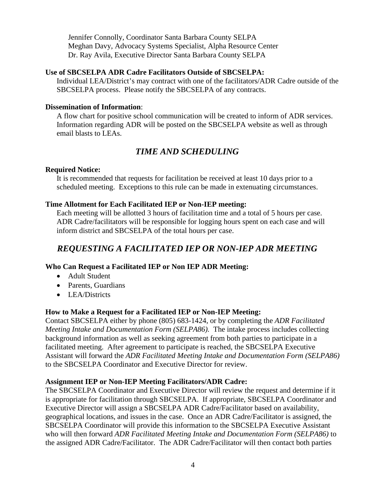Jennifer Connolly, Coordinator Santa Barbara County SELPA Meghan Davy, Advocacy Systems Specialist, Alpha Resource Center Dr. Ray Avila, Executive Director Santa Barbara County SELPA

#### **Use of SBCSELPA ADR Cadre Facilitators Outside of SBCSELPA:**

Individual LEA/District's may contract with one of the facilitators/ADR Cadre outside of the SBCSELPA process. Please notify the SBCSELPA of any contracts.

#### **Dissemination of Information**:

A flow chart for positive school communication will be created to inform of ADR services. Information regarding ADR will be posted on the SBCSELPA website as well as through email blasts to LEAs.

### *TIME AND SCHEDULING*

#### **Required Notice:**

It is recommended that requests for facilitation be received at least 10 days prior to a scheduled meeting. Exceptions to this rule can be made in extenuating circumstances.

#### **Time Allotment for Each Facilitated IEP or Non-IEP meeting:**

Each meeting will be allotted 3 hours of facilitation time and a total of 5 hours per case. ADR Cadre/facilitators will be responsible for logging hours spent on each case and will inform district and SBCSELPA of the total hours per case.

### *REQUESTING A FACILITATED IEP OR NON-IEP ADR MEETING*

#### **Who Can Request a Facilitated IEP or Non IEP ADR Meeting:**

- Adult Student
- Parents, Guardians
- LEA/Districts

#### **How to Make a Request for a Facilitated IEP or Non-IEP Meeting:**

Contact SBCSELPA either by phone (805) 683-1424, or by completing the *ADR Facilitated Meeting Intake and Documentation Form (SELPA86).* The intake process includes collecting background information as well as seeking agreement from both parties to participate in a facilitated meeting. After agreement to participate is reached, the SBCSELPA Executive Assistant will forward the *ADR Facilitated Meeting Intake and Documentation Form (SELPA86)* to the SBCSELPA Coordinator and Executive Director for review.

#### **Assignment IEP or Non-IEP Meeting Facilitators/ADR Cadre:**

The SBCSELPA Coordinator and Executive Director will review the request and determine if it is appropriate for facilitation through SBCSELPA. If appropriate, SBCSELPA Coordinator and Executive Director will assign a SBCSELPA ADR Cadre/Facilitator based on availability, geographical locations, and issues in the case. Once an ADR Cadre/Facilitator is assigned, the SBCSELPA Coordinator will provide this information to the SBCSELPA Executive Assistant who will then forward *ADR Facilitated Meeting Intake and Documentation Form (SELPA86)* to the assigned ADR Cadre/Facilitator. The ADR Cadre/Facilitator will then contact both parties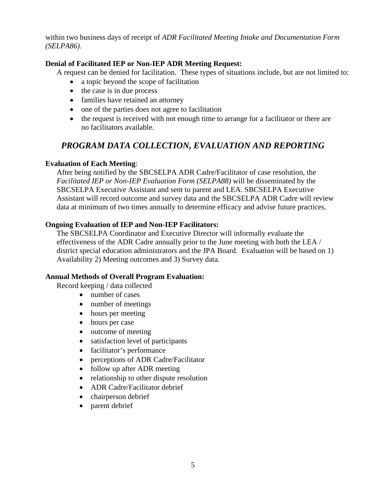within two business days of receipt of *ADR Facilitated Meeting Intake and Documentation Form (SELPA86)*.

#### **Denial of Facilitated IEP or Non-IEP ADR Meeting Request:**

A request can be denied for facilitation. These types of situations include, but are not limited to:

- a topic beyond the scope of facilitation
- the case is in due process
- families have retained an attorney
- one of the parties does not agree to facilitation
- the request is received with not enough time to arrange for a facilitator or there are no facilitators available.

### *PROGRAM DATA COLLECTION, EVALUATION AND REPORTING*

#### **Evaluation of Each Meeting**:

After being notified by the SBCSELPA ADR Cadre/Facilitator of case resolution, the *Facilitated IEP or Non-IEP Evaluation Form (SELPA88)* will be disseminated by the SBCSELPA Executive Assistant and sent to parent and LEA. SBCSELPA Executive Assistant will record outcome and survey data and the SBCSELPA ADR Cadre will review data at minimum of two times annually to determine efficacy and advise future practices.

#### **Ongoing Evaluation of IEP and Non-IEP Facilitators:**

The SBCSELPA Coordinator and Executive Director will informally evaluate the effectiveness of the ADR Cadre annually prior to the June meeting with both the LEA / district special education administrators and the JPA Board. Evaluation will be based on 1) Availability 2) Meeting outcomes and 3) Survey data.

#### **Annual Methods of Overall Program Evaluation:**

Record keeping / data collected

- number of cases
- number of meetings
- hours per meeting
- hours per case
- outcome of meeting
- satisfaction level of participants
- facilitator's performance
- perceptions of ADR Cadre/Facilitator
- follow up after ADR meeting
- relationship to other dispute resolution
- ADR Cadre/Facilitator debrief
- chairperson debrief
- parent debrief